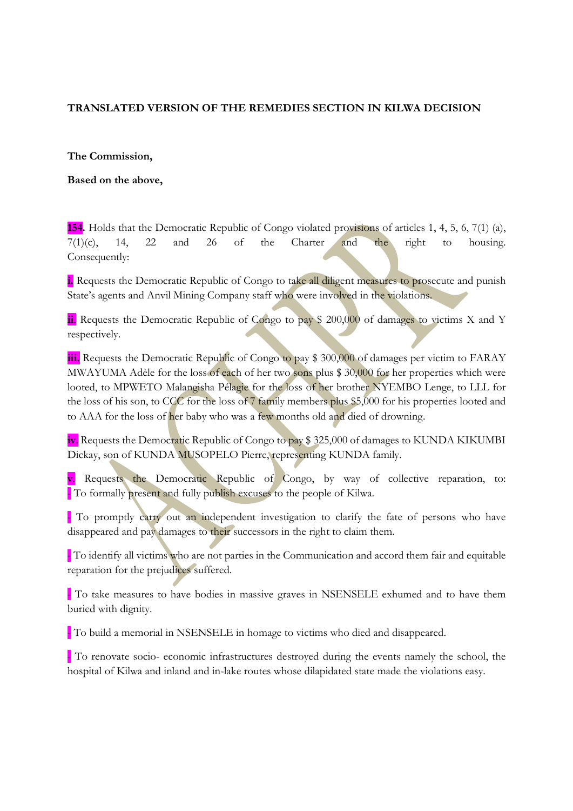## TRANSLATED VERSION OF THE REMEDIES SECTION IN KILWA DECISION

## The Commission,

Based on the above,

154. Holds that the Democratic Republic of Congo violated provisions of articles 1, 4, 5, 6, 7(1) (a),  $7(1)(c)$ , 14, 22 and 26 of the Charter and the right to housing. Consequently:

i. Requests the Democratic Republic of Congo to take all diligent measures to prosecute and punish State's agents and Anvil Mining Company staff who were involved in the violations.

ii. Requests the Democratic Republic of Congo to pay \$ 200,000 of damages to victims X and Y respectively.

iii. Requests the Democratic Republic of Congo to pay \$ 300,000 of damages per victim to FARAY MWAYUMA Adèle for the loss of each of her two sons plus \$ 30,000 for her properties which were looted, to MPWETO Malangisha Pélagie for the loss of her brother NYEMBO Lenge, to LLL for the loss of his son, to CCC for the loss of 7 family members plus \$5,000 for his properties looted and to AAA for the loss of her baby who was a few months old and died of drowning.

iv. Requests the Democratic Republic of Congo to pay \$ 325,000 of damages to KUNDA KIKUMBI Dickay, son of KUNDA MUSOPELO Pierre, representing KUNDA family.

v. Requests the Democratic Republic of Congo, by way of collective reparation, to: - To formally present and fully publish excuses to the people of Kilwa.

- To promptly carry out an independent investigation to clarify the fate of persons who have disappeared and pay damages to their successors in the right to claim them.

- To identify all victims who are not parties in the Communication and accord them fair and equitable reparation for the prejudices suffered.

- To take measures to have bodies in massive graves in NSENSELE exhumed and to have them buried with dignity.

- To build a memorial in NSENSELE in homage to victims who died and disappeared.

- To renovate socio- economic infrastructures destroyed during the events namely the school, the hospital of Kilwa and inland and in-lake routes whose dilapidated state made the violations easy.